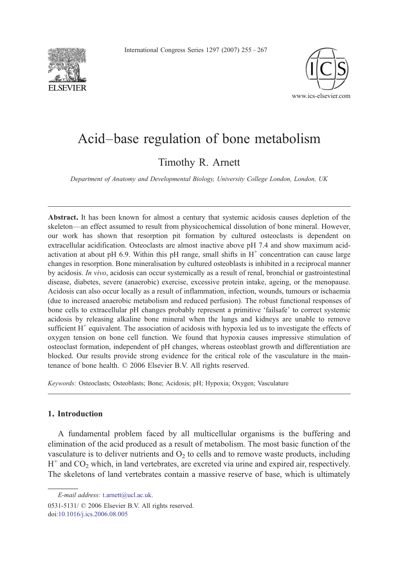International Congress Series 1297 (2007) 255–267





# Acid–base regulation of bone metabolism

Timothy R. Arnett

Department of Anatomy and Developmental Biology, University College London, London, UK

Abstract. It has been known for almost a century that systemic acidosis causes depletion of the skeleton—an effect assumed to result from physicochemical dissolution of bone mineral. However, our work has shown that resorption pit formation by cultured osteoclasts is dependent on extracellular acidification. Osteoclasts are almost inactive above pH 7.4 and show maximum acidactivation at about pH 6.9. Within this pH range, small shifts in  $H^+$  concentration can cause large changes in resorption. Bone mineralisation by cultured osteoblasts is inhibited in a reciprocal manner by acidosis. In vivo, acidosis can occur systemically as a result of renal, bronchial or gastrointestinal disease, diabetes, severe (anaerobic) exercise, excessive protein intake, ageing, or the menopause. Acidosis can also occur locally as a result of inflammation, infection, wounds, tumours or ischaemia (due to increased anaerobic metabolism and reduced perfusion). The robust functional responses of bone cells to extracellular pH changes probably represent a primitive 'failsafe' to correct systemic acidosis by releasing alkaline bone mineral when the lungs and kidneys are unable to remove sufficient  $H^+$  equivalent. The association of acidosis with hypoxia led us to investigate the effects of oxygen tension on bone cell function. We found that hypoxia causes impressive stimulation of osteoclast formation, independent of pH changes, whereas osteoblast growth and differentiation are blocked. Our results provide strong evidence for the critical role of the vasculature in the maintenance of bone health. © 2006 Elsevier B.V. All rights reserved.

Keywords: Osteoclasts; Osteoblasts; Bone; Acidosis; pH; Hypoxia; Oxygen; Vasculature

# 1. Introduction

A fundamental problem faced by all multicellular organisms is the buffering and elimination of the acid produced as a result of metabolism. The most basic function of the vasculature is to deliver nutrients and  $O<sub>2</sub>$  to cells and to remove waste products, including  $H^+$  and CO<sub>2</sub> which, in land vertebrates, are excreted via urine and expired air, respectively. The skeletons of land vertebrates contain a massive reserve of base, which is ultimately

E-mail address: [t.arnett@ucl.ac.uk](mailto:t.arnett@ucl.ac.uk).

<sup>0531-5131/ © 2006</sup> Elsevier B.V. All rights reserved. doi:[10.1016/j.ics.2006.08.005](http://dx.doi.org/10.1016/j.ics.2006.08.005)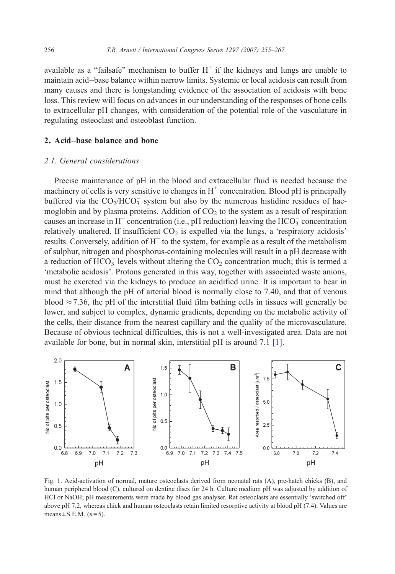<span id="page-1-0"></span>available as a "failsafe" mechanism to buffer  $H^+$  if the kidneys and lungs are unable to maintain acid–base balance within narrow limits. Systemic or local acidosis can result from many causes and there is longstanding evidence of the association of acidosis with bone loss. This review will focus on advances in our understanding of the responses of bone cells to extracellular pH changes, with consideration of the potential role of the vasculature in regulating osteoclast and osteoblast function.

# 2. Acid–base balance and bone

## 2.1. General considerations

Precise maintenance of pH in the blood and extracellular fluid is needed because the machinery of cells is very sensitive to changes in  $H^+$  concentration. Blood pH is principally buffered via the  $CO_2/HCO_3^-$  system but also by the numerous histidine residues of haemoglobin and by plasma proteins. Addition of  $CO<sub>2</sub>$  to the system as a result of respiration causes an increase in H<sup>+</sup> concentration (i.e., pH reduction) leaving the HCO<sub>3</sub> concentration relatively unaltered. If insufficient  $CO<sub>2</sub>$  is expelled via the lungs, a 'respiratory acidosis' results. Conversely, addition of  $H^+$  to the system, for example as a result of the metabolism of sulphur, nitrogen and phosphorus-containing molecules will result in a pH decrease with a reduction of  $HCO_3^-$  levels without altering the  $CO_2$  concentration much; this is termed a 'metabolic acidosis'. Protons generated in this way, together with associated waste anions, must be excreted via the kidneys to produce an acidified urine. It is important to bear in mind that although the pH of arterial blood is normally close to 7.40, and that of venous blood  $\approx$  7.36, the pH of the interstitial fluid film bathing cells in tissues will generally be lower, and subject to complex, dynamic gradients, depending on the metabolic activity of the cells, their distance from the nearest capillary and the quality of the microvasculature. Because of obvious technical difficulties, this is not a well-investigated area. Data are not available for bone, but in normal skin, interstitial pH is around 7.1 [\[1\]](#page-10-0).



Fig. 1. Acid-activation of normal, mature osteoclasts derived from neonatal rats (A), pre-hatch chicks (B), and human peripheral blood (C), cultured on dentine discs for 24 h. Culture medium pH was adjusted by addition of HCl or NaOH; pH measurements were made by blood gas analyser. Rat osteoclasts are essentially 'switched off' above pH 7.2, whereas chick and human osteoclasts retain limited resorptive activity at blood pH (7.4). Values are means  $\pm$  S.E.M. ( $n=5$ ).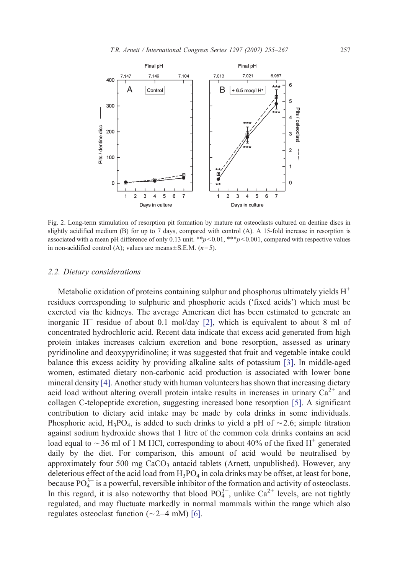<span id="page-2-0"></span>

Fig. 2. Long-term stimulation of resorption pit formation by mature rat osteoclasts cultured on dentine discs in slightly acidified medium (B) for up to 7 days, compared with control (A). A 15-fold increase in resorption is associated with a mean pH difference of only 0.13 unit.  $*_{p} < 0.01$ ,  $*_{p} < 0.001$ , compared with respective values in non-acidified control (A); values are means  $\pm$  S.E.M. (*n*=5).

#### 2.2. Dietary considerations

Metabolic oxidation of proteins containing sulphur and phosphorus ultimately yields  $H^+$ residues corresponding to sulphuric and phosphoric acids ('fixed acids') which must be excreted via the kidneys. The average American diet has been estimated to generate an inorganic  $H^+$  residue of about 0.1 mol/day [\[2\],](#page-10-0) which is equivalent to about 8 ml of concentrated hydrochloric acid. Recent data indicate that excess acid generated from high protein intakes increases calcium excretion and bone resorption, assessed as urinary pyridinoline and deoxypyridinoline; it was suggested that fruit and vegetable intake could balance this excess acidity by providing alkaline salts of potassium [\[3\].](#page-10-0) In middle-aged women, estimated dietary non-carbonic acid production is associated with lower bone mineral density [\[4\].](#page-10-0) Another study with human volunteers has shown that increasing dietary acid load without altering overall protein intake results in increases in urinary  $Ca^{2+}$  and collagen C-telopeptide excretion, suggesting increased bone resorption [\[5\]](#page-10-0). A significant contribution to dietary acid intake may be made by cola drinks in some individuals. Phosphoric acid, H<sub>3</sub>PO<sub>4</sub>, is added to such drinks to yield a pH of ~2.6; simple titration against sodium hydroxide shows that 1 litre of the common cola drinks contains an acid load equal to ∼36 ml of 1 M HCl, corresponding to about 40% of the fixed H<sup>+</sup> generated daily by the diet. For comparison, this amount of acid would be neutralised by approximately four  $500 \text{ mg } \text{CaCO}_3$  antacid tablets (Arnett, unpublished). However, any deleterious effect of the acid load from  $H_3PO_4$  in cola drinks may be offset, at least for bone, because  $PO_4^{3-}$  is a powerful, reversible inhibitor of the formation and activity of osteoclasts. In this regard, it is also noteworthy that blood  $PO_4^{3-}$ , unlike  $Ca^{2+}$  levels, are not tightly regulated, and may fluctuate markedly in normal mammals within the range which also regulates osteoclast function (∼2–4 mM) [\[6\].](#page-10-0)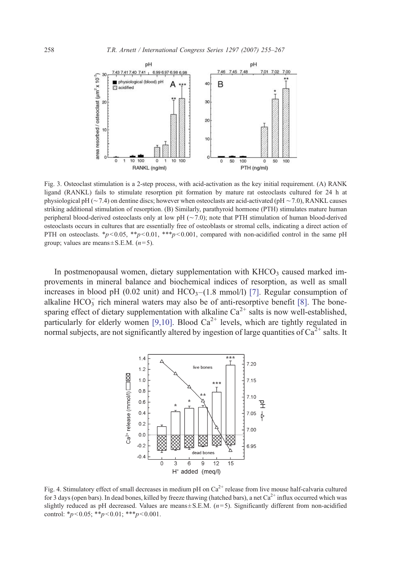<span id="page-3-0"></span>

Fig. 3. Osteoclast stimulation is a 2-step process, with acid-activation as the key initial requirement. (A) RANK ligand (RANKL) fails to stimulate resorption pit formation by mature rat osteoclasts cultured for 24 h at physiological pH (∼7.4) on dentine discs; however when osteoclasts are acid-activated (pH ∼7.0), RANKL causes striking additional stimulation of resorption. (B) Similarly, parathyroid hormone (PTH) stimulates mature human peripheral blood-derived osteoclasts only at low pH (∼7.0); note that PTH stimulation of human blood-derived osteoclasts occurs in cultures that are essentially free of osteoblasts or stromal cells, indicating a direct action of PTH on osteoclasts.  $*_p$  < 0.05,  $*_p$  < 0.01,  $**_p$  < 0.001, compared with non-acidified control in the same pH group; values are means  $\pm$  S.E.M. (*n*=5).

In postmenopausal women, dietary supplementation with  $KHCO<sub>3</sub>$  caused marked improvements in mineral balance and biochemical indices of resorption, as well as small increases in blood pH (0.02 unit) and  $HCO<sub>3</sub>–(1.8 mmol/l)$  [\[7\].](#page-10-0) Regular consumption of alkaline  $HCO_3^-$  rich mineral waters may also be of anti-resorptive benefit [\[8\].](#page-10-0) The bonesparing effect of dietary supplementation with alkaline  $Ca^{2+}$  salts is now well-established, particularly for elderly women [\[9,10\]](#page-10-0). Blood  $Ca^{2+}$  levels, which are tightly regulated in normal subjects, are not significantly altered by ingestion of large quantities of  $Ca^{2+}$  salts. It



Fig. 4. Stimulatory effect of small decreases in medium pH on  $Ca<sup>2+</sup>$  release from live mouse half-calvaria cultured for 3 days (open bars). In dead bones, killed by freeze thawing (hatched bars), a net  $Ca^{2+}$  influx occurred which was slightly reduced as pH decreased. Values are means  $\pm$  S.E.M. ( $n=5$ ). Significantly different from non-acidified control: \* $p < 0.05$ ; \*\* $p < 0.01$ ; \*\*\* $p < 0.001$ .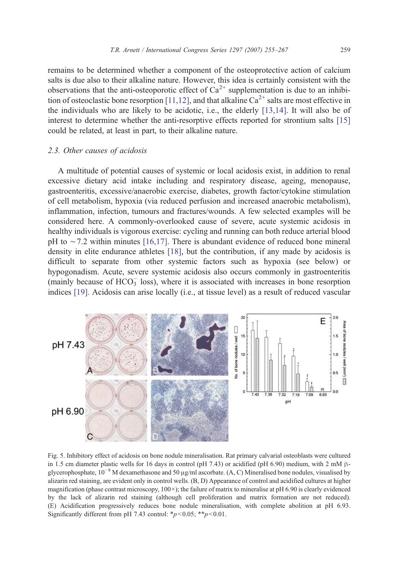<span id="page-4-0"></span>remains to be determined whether a component of the osteoprotective action of calcium salts is due also to their alkaline nature. However, this idea is certainly consistent with the observations that the anti-osteoporotic effect of  $Ca^{2+}$  supplementation is due to an inhibi-tion of osteoclastic bone resorption [\[11,12\]](#page-10-0), and that alkaline  $Ca^{2+}$  salts are most effective in the individuals who are likely to be acidotic, i.e., the elderly [\[13,14\]](#page-10-0). It will also be of interest to determine whether the anti-resorptive effects reported for strontium salts [\[15\]](#page-10-0) could be related, at least in part, to their alkaline nature.

## 2.3. Other causes of acidosis

A multitude of potential causes of systemic or local acidosis exist, in addition to renal excessive dietary acid intake including and respiratory disease, ageing, menopause, gastroenteritis, excessive/anaerobic exercise, diabetes, growth factor/cytokine stimulation of cell metabolism, hypoxia (via reduced perfusion and increased anaerobic metabolism), inflammation, infection, tumours and fractures/wounds. A few selected examples will be considered here. A commonly-overlooked cause of severe, acute systemic acidosis in healthy individuals is vigorous exercise: cycling and running can both reduce arterial blood pH to ∼7.2 within minutes [\[16,17\]](#page-11-0). There is abundant evidence of reduced bone mineral density in elite endurance athletes [\[18\],](#page-11-0) but the contribution, if any made by acidosis is difficult to separate from other systemic factors such as hypoxia (see below) or hypogonadism. Acute, severe systemic acidosis also occurs commonly in gastroenteritis (mainly because of  $HCO<sub>3</sub><sup>-</sup>$  loss), where it is associated with increases in bone resorption indices [\[19\].](#page-11-0) Acidosis can arise locally (i.e., at tissue level) as a result of reduced vascular



Fig. 5. Inhibitory effect of acidosis on bone nodule mineralisation. Rat primary calvarial osteoblasts were cultured in 1.5 cm diameter plastic wells for 16 days in control (pH 7.43) or acidified (pH 6.90) medium, with 2 mM βglycerophosphate,  $10^{-8}$  M dexamethasone and 50 µg/ml ascorbate. (A, C) Mineralised bone nodules, visualised by alizarin red staining, are evident only in control wells. (B, D) Appearance of control and acidified cultures at higher magnification (phase contrast microscopy,  $100 \times$ ); the failure of matrix to mineralise at pH 6.90 is clearly evidenced by the lack of alizarin red staining (although cell proliferation and matrix formation are not reduced). (E) Acidification progressively reduces bone nodule mineralisation, with complete abolition at pH 6.93. Significantly different from pH 7.43 control:  $*_{p}<0.05$ ;  $*_{p}<0.01$ .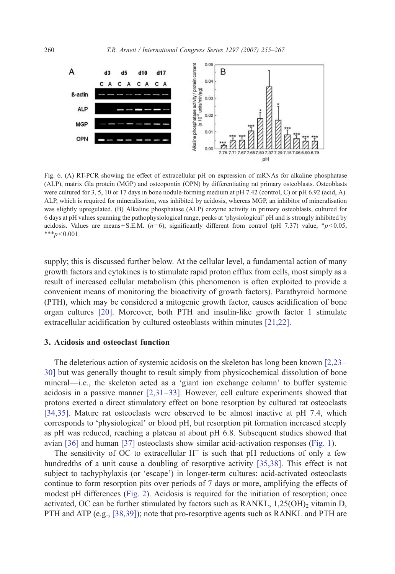<span id="page-5-0"></span>

Fig. 6. (A) RT-PCR showing the effect of extracellular pH on expression of mRNAs for alkaline phosphatase (ALP), matrix Gla protein (MGP) and osteopontin (OPN) by differentiating rat primary osteoblasts. Osteoblasts were cultured for 3, 5, 10 or 17 days in bone nodule-forming medium at pH 7.42 (control, C) or pH 6.92 (acid, A). ALP, which is required for mineralisation, was inhibited by acidosis, whereas MGP, an inhibitor of mineralisation was slightly upregulated. (B) Alkaline phosphatase (ALP) enzyme activity in primary osteoblasts, cultured for 6 days at pH values spanning the pathophysiological range, peaks at 'physiological' pH and is strongly inhibited by acidosis. Values are means ± S.E.M.  $(n=6)$ ; significantly different from control (pH 7.37) value,  $*_{p}$  < 0.05,  $***_p<0.001$ .

supply; this is discussed further below. At the cellular level, a fundamental action of many growth factors and cytokines is to stimulate rapid proton efflux from cells, most simply as a result of increased cellular metabolism (this phenomenon is often exploited to provide a convenient means of monitoring the bioactivity of growth factors). Parathyroid hormone (PTH), which may be considered a mitogenic growth factor, causes acidification of bone organ cultures [\[20\].](#page-11-0) Moreover, both PTH and insulin-like growth factor 1 stimulate extracellular acidification by cultured osteoblasts within minutes [\[21,22\].](#page-11-0)

#### 3. Acidosis and osteoclast function

The deleterious action of systemic acidosis on the skeleton has long been known [\[2,23](#page-10-0)– [30\]](#page-10-0) but was generally thought to result simply from physicochemical dissolution of bone mineral—i.e., the skeleton acted as a 'giant ion exchange column' to buffer systemic acidosis in a passive manner [\[2,31](#page-10-0)–33]. However, cell culture experiments showed that protons exerted a direct stimulatory effect on bone resorption by cultured rat osteoclasts [\[34,35\]](#page-11-0). Mature rat osteoclasts were observed to be almost inactive at pH 7.4, which corresponds to 'physiological' or blood pH, but resorption pit formation increased steeply as pH was reduced, reaching a plateau at about pH 6.8. Subsequent studies showed that avian [\[36\]](#page-11-0) and human [\[37\]](#page-11-0) osteoclasts show similar acid-activation responses [\(Fig. 1\)](#page-1-0).

The sensitivity of OC to extracellular  $H^+$  is such that pH reductions of only a few hundredths of a unit cause a doubling of resorptive activity [\[35,38\]](#page-11-0). This effect is not subject to tachyphylaxis (or 'escape') in longer-term cultures: acid-activated osteoclasts continue to form resorption pits over periods of 7 days or more, amplifying the effects of modest pH differences ([Fig. 2\)](#page-2-0). Acidosis is required for the initiation of resorption; once activated, OC can be further stimulated by factors such as  $RANKL$ ,  $1,25(OH)_{2}$  vitamin D, PTH and ATP (e.g., [\[38,39\]\)](#page-11-0); note that pro-resorptive agents such as RANKL and PTH are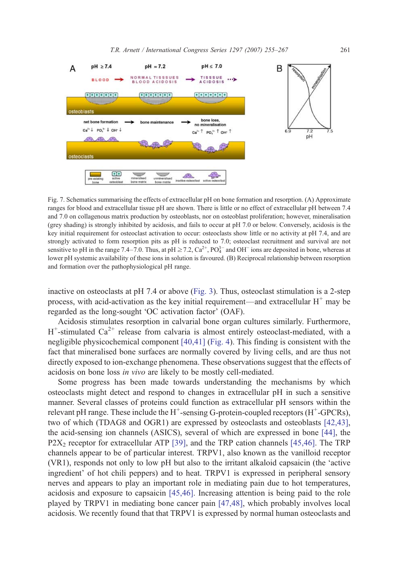<span id="page-6-0"></span>

Fig. 7. Schematics summarising the effects of extracellular pH on bone formation and resorption. (A) Approximate ranges for blood and extracellular tissue pH are shown. There is little or no effect of extracellular pH between 7.4 and 7.0 on collagenous matrix production by osteoblasts, nor on osteoblast proliferation; however, mineralisation (grey shading) is strongly inhibited by acidosis, and fails to occur at pH 7.0 or below. Conversely, acidosis is the key initial requirement for osteoclast activation to occur: osteoclasts show little or no activity at pH 7.4, and are strongly activated to form resorption pits as pH is reduced to 7.0; osteoclast recruitment and survival are not sensitive to pH in the range 7.4–7.0. Thus, at pH  $\geq$  7.2,  $Ca^{2+}$ ,  $PO_4^{3-}$  and OH<sup>-</sup> ions are deposited in bone, whereas at lower pH systemic availability of these ions in solution is favoured. (B) Reciprocal relationship between resorption and formation over the pathophysiological pH range.

inactive on osteoclasts at pH 7.4 or above [\(Fig. 3\)](#page-3-0). Thus, osteoclast stimulation is a 2-step process, with acid-activation as the key initial requirement—and extracellular  $H^+$  may be regarded as the long-sought 'OC activation factor' (OAF).

Acidosis stimulates resorption in calvarial bone organ cultures similarly. Furthermore,  $H^+$ -stimulated Ca<sup>2+</sup> release from calvaria is almost entirely osteoclast-mediated, with a negligible physicochemical component [\[40,41\]](#page-11-0) [\(Fig. 4](#page-3-0)). This finding is consistent with the fact that mineralised bone surfaces are normally covered by living cells, and are thus not directly exposed to ion-exchange phenomena. These observations suggest that the effects of acidosis on bone loss in vivo are likely to be mostly cell-mediated.

Some progress has been made towards understanding the mechanisms by which osteoclasts might detect and respond to changes in extracellular pH in such a sensitive manner. Several classes of proteins could function as extracellular pH sensors within the relevant pH range. These include the H<sup>+</sup>-sensing G-protein-coupled receptors (H<sup>+</sup>-GPCRs), two of which (TDAG8 and OGR1) are expressed by osteoclasts and osteoblasts [\[42,43\],](#page-11-0) the acid-sensing ion channels (ASICS), several of which are expressed in bone [\[44\]](#page-11-0), the  $P2X_2$  receptor for extracellular ATP [\[39\]](#page-11-0), and the TRP cation channels [\[45,46\]](#page-11-0). The TRP channels appear to be of particular interest. TRPV1, also known as the vanilloid receptor (VR1), responds not only to low pH but also to the irritant alkaloid capsaicin (the 'active ingredient' of hot chili peppers) and to heat. TRPV1 is expressed in peripheral sensory nerves and appears to play an important role in mediating pain due to hot temperatures, acidosis and exposure to capsaicin [\[45,46\]](#page-11-0). Increasing attention is being paid to the role played by TRPV1 in mediating bone cancer pain [\[47,48\],](#page-12-0) which probably involves local acidosis. We recently found that that TRPV1 is expressed by normal human osteoclasts and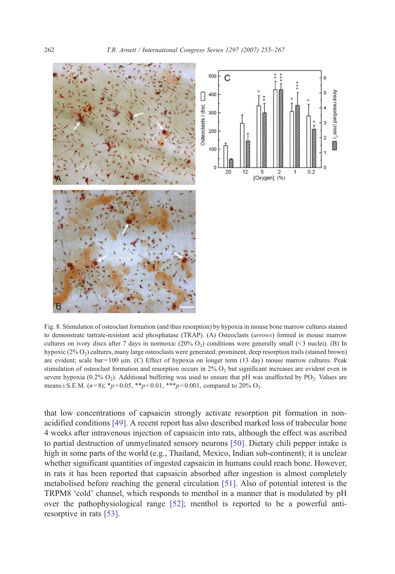<span id="page-7-0"></span>

Fig. 8. Stimulation of osteoclast formation (and thus resorption) by hypoxia in mouse bone marrow cultures stained to demonstrate tartrate-resistant acid phosphatase (TRAP). (A) Osteoclasts (arrows) formed in mouse marrow cultures on ivory discs after 7 days in normoxic  $(20\% O_2)$  conditions were generally small (<3 nuclei). (B) In hypoxic (2% O<sub>2</sub>) cultures, many large osteoclasts were generated; prominent, deep resorption trails (stained brown) are evident; scale bar = 100  $\mu$ m. (C) Effect of hypoxia on longer term (13 day) mouse marrow cultures. Peak stimulation of osteoclast formation and resorption occurs in  $2\%$  O<sub>2</sub> but significant increases are evident even in severe hypoxia (0.2%  $O_2$ ). Additional buffering was used to ensure that pH was unaffected by PO<sub>2</sub>. Values are means  $\pm$  S.E.M. (n=8);  $*_{p}$  < 0.05,  $*_{p}$  < 0.01,  $*_{p}$  < 0.001, compared to 20% O<sub>2</sub>.

that low concentrations of capsaicin strongly activate resorption pit formation in nonacidified conditions [\[49\]](#page-12-0). A recent report has also described marked loss of trabecular bone 4 weeks after intravenous injection of capsaicin into rats, although the effect was ascribed to partial destruction of unmyelinated sensory neurons [\[50\]](#page-12-0). Dietary chili pepper intake is high in some parts of the world (e.g., Thailand, Mexico, Indian sub-continent); it is unclear whether significant quantities of ingested capsaicin in humans could reach bone. However, in rats it has been reported that capsaicin absorbed after ingestion is almost completely metabolised before reaching the general circulation [\[51\]](#page-12-0). Also of potential interest is the TRPM8 'cold' channel, which responds to menthol in a manner that is modulated by pH over the pathophysiological range [\[52\];](#page-12-0) menthol is reported to be a powerful antiresorptive in rats [\[53\].](#page-12-0)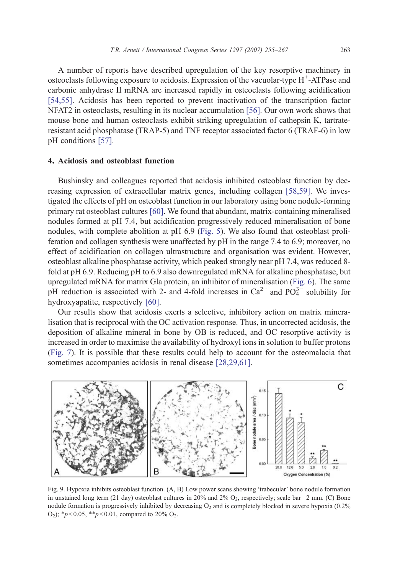<span id="page-8-0"></span>A number of reports have described upregulation of the key resorptive machinery in osteoclasts following exposure to acidosis. Expression of the vacuolar-type  $H^+$ -ATPase and carbonic anhydrase II mRNA are increased rapidly in osteoclasts following acidification [\[54,55\].](#page-12-0) Acidosis has been reported to prevent inactivation of the transcription factor NFAT2 in osteoclasts, resulting in its nuclear accumulation [\[56\]](#page-12-0). Our own work shows that mouse bone and human osteoclasts exhibit striking upregulation of cathepsin K, tartrateresistant acid phosphatase (TRAP-5) and TNF receptor associated factor 6 (TRAF-6) in low pH conditions [\[57\].](#page-12-0)

## 4. Acidosis and osteoblast function

Bushinsky and colleagues reported that acidosis inhibited osteoblast function by decreasing expression of extracellular matrix genes, including collagen [\[58,59\].](#page-12-0) We investigated the effects of pH on osteoblast function in our laboratory using bone nodule-forming primary rat osteoblast cultures [\[60\].](#page-12-0) We found that abundant, matrix-containing mineralised nodules formed at pH 7.4, but acidification progressively reduced mineralisation of bone nodules, with complete abolition at pH 6.9 [\(Fig. 5](#page-4-0)). We also found that osteoblast proliferation and collagen synthesis were unaffected by pH in the range 7.4 to 6.9; moreover, no effect of acidification on collagen ultrastructure and organisation was evident. However, osteoblast alkaline phosphatase activity, which peaked strongly near pH 7.4, was reduced 8 fold at pH 6.9. Reducing pH to 6.9 also downregulated mRNA for alkaline phosphatase, but upregulated mRNA for matrix Gla protein, an inhibitor of mineralisation ([Fig. 6\)](#page-5-0). The same pH reduction is associated with 2- and 4-fold increases in  $Ca^{2+}$  and  $PO_4^{3-}$  solubility for hydroxyapatite, respectively [\[60\].](#page-12-0)

Our results show that acidosis exerts a selective, inhibitory action on matrix mineralisation that is reciprocal with the OC activation response. Thus, in uncorrected acidosis, the deposition of alkaline mineral in bone by OB is reduced, and OC resorptive activity is increased in order to maximise the availability of hydroxyl ions in solution to buffer protons ([Fig. 7](#page-6-0)). It is possible that these results could help to account for the osteomalacia that sometimes accompanies acidosis in renal disease [\[28,29,61\].](#page-11-0)



Fig. 9. Hypoxia inhibits osteoblast function. (A, B) Low power scans showing 'trabecular' bone nodule formation in unstained long term (21 day) osteoblast cultures in 20% and 2%  $O_2$ , respectively; scale bar = 2 mm. (C) Bone nodule formation is progressively inhibited by decreasing  $O_2$  and is completely blocked in severe hypoxia (0.2%) O<sub>2</sub>); \* $p<0.05$ , \*\* $p<0.01$ , compared to 20% O<sub>2</sub>.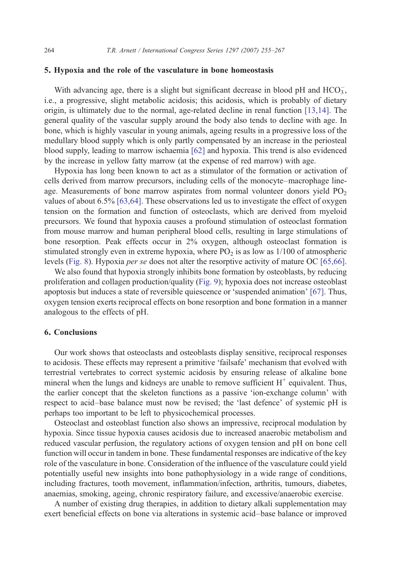## 5. Hypoxia and the role of the vasculature in bone homeostasis

With advancing age, there is a slight but significant decrease in blood pH and  $HCO_3^-$ , i.e., a progressive, slight metabolic acidosis; this acidosis, which is probably of dietary origin, is ultimately due to the normal, age-related decline in renal function [\[13,14\].](#page-10-0) The general quality of the vascular supply around the body also tends to decline with age. In bone, which is highly vascular in young animals, ageing results in a progressive loss of the medullary blood supply which is only partly compensated by an increase in the periosteal blood supply, leading to marrow ischaemia [\[62\]](#page-12-0) and hypoxia. This trend is also evidenced by the increase in yellow fatty marrow (at the expense of red marrow) with age.

Hypoxia has long been known to act as a stimulator of the formation or activation of cells derived from marrow precursors, including cells of the monocyte–macrophage lineage. Measurements of bone marrow aspirates from normal volunteer donors yield  $PO<sub>2</sub>$ values of about 6.5% [\[63,64\]](#page-12-0). These observations led us to investigate the effect of oxygen tension on the formation and function of osteoclasts, which are derived from myeloid precursors. We found that hypoxia causes a profound stimulation of osteoclast formation from mouse marrow and human peripheral blood cells, resulting in large stimulations of bone resorption. Peak effects occur in 2% oxygen, although osteoclast formation is stimulated strongly even in extreme hypoxia, where  $PO_2$  is as low as  $1/100$  of atmospheric levels [\(Fig. 8\)](#page-7-0). Hypoxia per se does not alter the resorptive activity of mature OC [\[65,66\].](#page-12-0)

We also found that hypoxia strongly inhibits bone formation by osteoblasts, by reducing proliferation and collagen production/quality [\(Fig. 9](#page-8-0)); hypoxia does not increase osteoblast apoptosis but induces a state of reversible quiescence or 'suspended animation' [\[67\].](#page-12-0) Thus, oxygen tension exerts reciprocal effects on bone resorption and bone formation in a manner analogous to the effects of pH.

#### 6. Conclusions

Our work shows that osteoclasts and osteoblasts display sensitive, reciprocal responses to acidosis. These effects may represent a primitive 'failsafe' mechanism that evolved with terrestrial vertebrates to correct systemic acidosis by ensuring release of alkaline bone mineral when the lungs and kidneys are unable to remove sufficient  $H^+$  equivalent. Thus, the earlier concept that the skeleton functions as a passive 'ion-exchange column' with respect to acid–base balance must now be revised; the 'last defence' of systemic pH is perhaps too important to be left to physicochemical processes.

Osteoclast and osteoblast function also shows an impressive, reciprocal modulation by hypoxia. Since tissue hypoxia causes acidosis due to increased anaerobic metabolism and reduced vascular perfusion, the regulatory actions of oxygen tension and pH on bone cell function will occur in tandem in bone. These fundamental responses are indicative of the key role of the vasculature in bone. Consideration of the influence of the vasculature could yield potentially useful new insights into bone pathophysiology in a wide range of conditions, including fractures, tooth movement, inflammation/infection, arthritis, tumours, diabetes, anaemias, smoking, ageing, chronic respiratory failure, and excessive/anaerobic exercise.

A number of existing drug therapies, in addition to dietary alkali supplementation may exert beneficial effects on bone via alterations in systemic acid–base balance or improved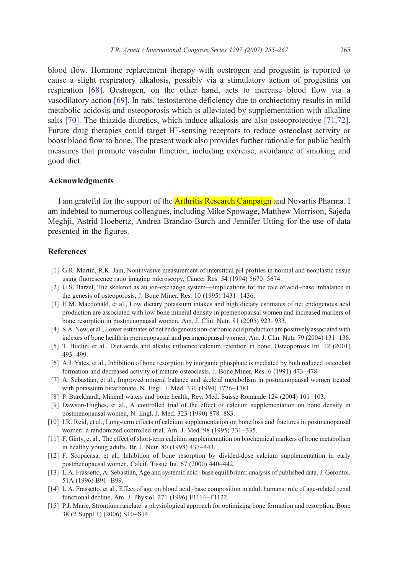<span id="page-10-0"></span>blood flow. Hormone replacement therapy with oestrogen and progestin is reported to cause a slight respiratory alkalosis, possibly via a stimulatory action of progestins on respiration [\[68\]](#page-12-0). Oestrogen, on the other hand, acts to increase blood flow via a vasodilatory action [\[69\]](#page-12-0). In rats, testosterone deficiency due to orchiectomy results in mild metabolic acidosis and osteoporosis which is alleviated by supplementation with alkaline salts [\[70\].](#page-12-0) The thiazide diuretics, which induce alkalosis are also osteoprotective [\[71,72\].](#page-12-0) Future drug therapies could target  $H^+$ -sensing receptors to reduce osteoclast activity or boost blood flow to bone. The present work also provides further rationale for public health measures that promote vascular function, including exercise, avoidance of smoking and good diet.

#### Acknowledgments

I am grateful for the support of the **Arthritis Research Campaign** and Novartis Pharma. I am indebted to numerous colleagues, including Mike Spowage, Matthew Morrison, Sajeda Meghji, Astrid Hoebertz, Andrea Brandao-Burch and Jennifer Utting for the use of data presented in the figures.

## References

- [1] G.R. Martin, R.K. Jain, Noninvasive measurement of interstitial pH profiles in normal and neoplastic tissue using fluorescence ratio imaging microscopy, Cancer Res. 54 (1994) 5670–5674.
- [2] U.S. Barzel, The skeleton as an ion-exchange system—implications for the role of acid–base imbalance in the genesis of osteoporosis, J. Bone Miner. Res. 10 (1995) 1431–1436.
- [3] H.M. Macdonald, et al., Low dietary potassium intakes and high dietary estimates of net endogenous acid production are associated with low bone mineral density in premenopausal women and increased markers of bone resorption in postmenopausal women, Am. J. Clin. Nutr. 81 (2005) 923–933.
- [4] S.A. New, et al., Lower estimates of net endogenous non-carbonic acid production are positively associated with indexes of bone health in premenopausal and perimenopausal women, Am. J. Clin. Nutr. 79 (2004) 131–138.
- [5] T. Buclin, et al., Diet acids and alkalis influence calcium retention in bone, Osteoporosis Int. 12 (2001) 493–499.
- [6] A.J. Yates, et al., Inhibition of bone resorption by inorganic phosphate is mediated by both reduced osteoclast formation and decreased activity of mature osteoclasts, J. Bone Miner. Res. 6 (1991) 473–478.
- [7] A. Sebastian, et al., Improved mineral balance and skeletal metabolism in postmenopausal women treated with potassium bicarbonate, N. Engl. J. Med. 330 (1994) 1776–1781.
- [8] P. Burckhardt, Mineral waters and bone health, Rev. Med. Suisse Romande 124 (2004) 101–103.
- [9] Dawson-Hughes, et al., A controlled trial of the effect of calcium supplementation on bone density in postmenopausal women, N. Engl. J. Med. 323 (1990) 878–883.
- [10] I.R. Reid, et al., Long-term effects of calcium supplementation on bone loss and fractures in postmenopausal women: a randomized controlled trial, Am. J. Med. 98 (1995) 331–335.
- [11] F. Ginty, et al., The effect of short-term calcium supplementation on biochemical markers of bone metabolism in healthy young adults, Br. J. Nutr. 80 (1998) 437–443.
- [12] F. Scopacasa, et al., Inhibition of bone resorption by divided-dose calcium supplementation in early postmenopausal women, Calcif. Tissue Int. 67 (2000) 440–442.
- [13] L.A. Frassetto, A. Sebastian, Age and systemic acid–base equilibrium: analysis of published data, J. Gerontol. 51A (1996) B91–B99.
- [14] L.A. Frassetto, et al., Effect of age on blood acid–base composition in adult humans: role of age-related renal functional decline, Am. J. Physiol. 271 (1996) F1114–F1122.
- [15] P.J. Marie, Strontium ranelate: a physiological approach for optimizing bone formation and resorption, Bone 38 (2 Suppl 1) (2006) S10–S14.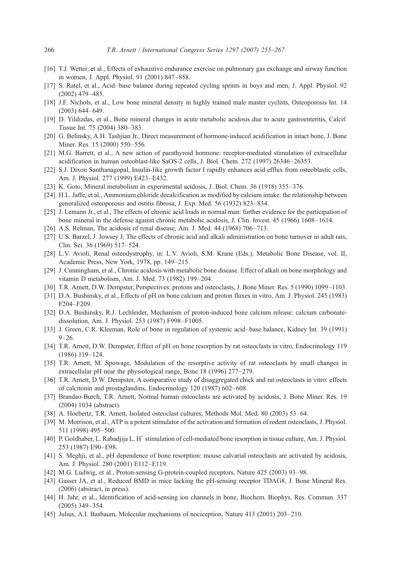- <span id="page-11-0"></span>[16] T.J. Wetter, et al., Effects of exhaustive endurance exercise on pulmonary gas exchange and airway function in women, J. Appl. Physiol. 91 (2001) 847–858.
- [17] S. Ratel, et al., Acid–base balance during repeated cycling sprints in boys and men, J. Appl. Physiol. 92 (2002) 479–485.
- [18] J.F. Nichols, et al., Low bone mineral density in highly trained male master cyclists, Osteoporosis Int. 14 (2003) 644–649.
- [19] D. Yildizdas, et al., Bone mineral changes in acute metabolic acidosis due to acute gastroenteritis, Calcif. Tissue Int. 75 (2004) 380–383.
- [20] G. Belinsky, A.H. Tashjian Jr., Direct measurement of hormone-induced acidification in intact bone, J. Bone Miner. Res. 15 (2000) 550–556.
- [21] M.G. Barrett, et al., A new action of parathyroid hormone: receptor-mediated stimulation of extracellular acidification in human osteoblast-like SaOS-2 cells, J. Biol. Chem. 272 (1997) 26346–26353.
- [22] S.J. Dixon Santhanagopal, Insulin-like growth factor I rapidly enhances acid efflux from osteoblastic cells, Am. J. Physiol. 277 (1999) E423–E432.
- [23] K. Goto, Mineral metabolism in experimental acidosis, J. Biol. Chem. 36 (1918) 355–376.
- [24] H.L. Jaffe, et al., Ammonium chloride decalcification as modified by calcium intake: the relationship between generalized osteoporosis and ostitis fibrosa, J. Exp. Med. 56 (1932) 823–834.
- [25] J. Lemann Jr., et al., The effects of chronic acid loads in normal man: further evidence for the participation of bone mineral in the defense against chronic metabolic acidosis, J. Clin. Invest. 45 (1966) 1608–1614.
- [26] A.S. Relman, The acidosis of renal disease, Am. J. Med. 44 (1968) 706–713.
- [27] U.S. Barzel, J. Jowsey J, The effects of chronic acid and alkali administration on bone turnover in adult rats, Clin. Sci. 36 (1969) 517–524.
- [28] L.V. Avioli, Renal osteodystrophy, in: L.V. Avioli, S.M. Krane (Eds.), Metabolic Bone Disease, vol. II, Academic Press, New York, 1978, pp. 149–215.
- [29] J. Cunningham, et al., Chronic acidosis with metabolic bone disease. Effect of alkali on bone morphology and vitamin D metabolism, Am. J. Med. 73 (1982) 199–204.
- [30] T.R. Arnett, D.W. Dempster, Perspectives: protons and osteoclasts, J. Bone Miner. Res. 5 (1990) 1099–1103.
- [31] D.A. Bushinsky, et al., Effects of pH on bone calcium and proton fluxes in vitro, Am. J. Physiol. 245 (1983) F204–F209.
- [32] D.A. Bushinsky, R.J. Lechleider, Mechanism of proton-induced bone calcium release: calcium carbonatedissolution, Am. J. Physiol. 253 (1987) F998–F1005.
- [33] J. Green, C.R. Kleeman, Role of bone in regulation of systemic acid–base balance, Kidney Int. 39 (1991)  $9 - 26$
- [34] T.R. Arnett, D.W. Dempster, Effect of pH on bone resorption by rat osteoclasts in vitro, Endocrinology 119 (1986) 119–124.
- [35] T.R. Arnett, M. Spowage, Modulation of the resorptive activity of rat osteoclasts by small changes in extracellular pH near the physiological range, Bone 18 (1996) 277–279.
- [36] T.R. Arnett, D.W. Dempster, A comparative study of disaggregated chick and rat osteoclasts in vitro: effects of calcitonin and prostaglandins, Endocrinology 120 (1987) 602–608.
- [37] Brandao-Burch, T.R. Arnett, Normal human osteoclasts are activated by acidosis, J. Bone Miner. Res. 19 (2004) 1034 (abstract).
- [38] A. Hoebertz, T.R. Arnett, Isolated osteoclast cultures, Methods Mol. Med. 80 (2003) 53–64.
- [39] M. Morrison, et al., ATP is a potent stimulator of the activation and formation of rodent osteoclasts, J. Physiol. 511 (1998) 495–500.
- [40] P. Goldhaber, L. Rabadjija L, H<sup>+</sup> stimulation of cell-mediated bone resorption in tissue culture, Am. J. Physiol. 253 (1987) E90–E98.
- [41] S. Meghji, et al., pH dependence of bone resorption: mouse calvarial osteoclasts are activated by acidosis, Am. J. Physiol. 280 (2001) E112–E119.
- [42] M.G. Ludwig, et al., Proton-sensing G-protein-coupled receptors, Nature 425 (2003) 93–98.
- [43] Gasser JA, et al., Reduced BMD in mice lacking the pH-sensing receptor TDAG8, J. Bone Mineral Res. (2006) (abstract, in press).
- [44] H. Jahr, et al., Identification of acid-sensing ion channels in bone, Biochem. Biophys. Res. Commun. 337 (2005) 349–354.
- [45] Julius, A.I. Basbaum, Molecular mechanisms of nociception, Nature 413 (2001) 203–210.